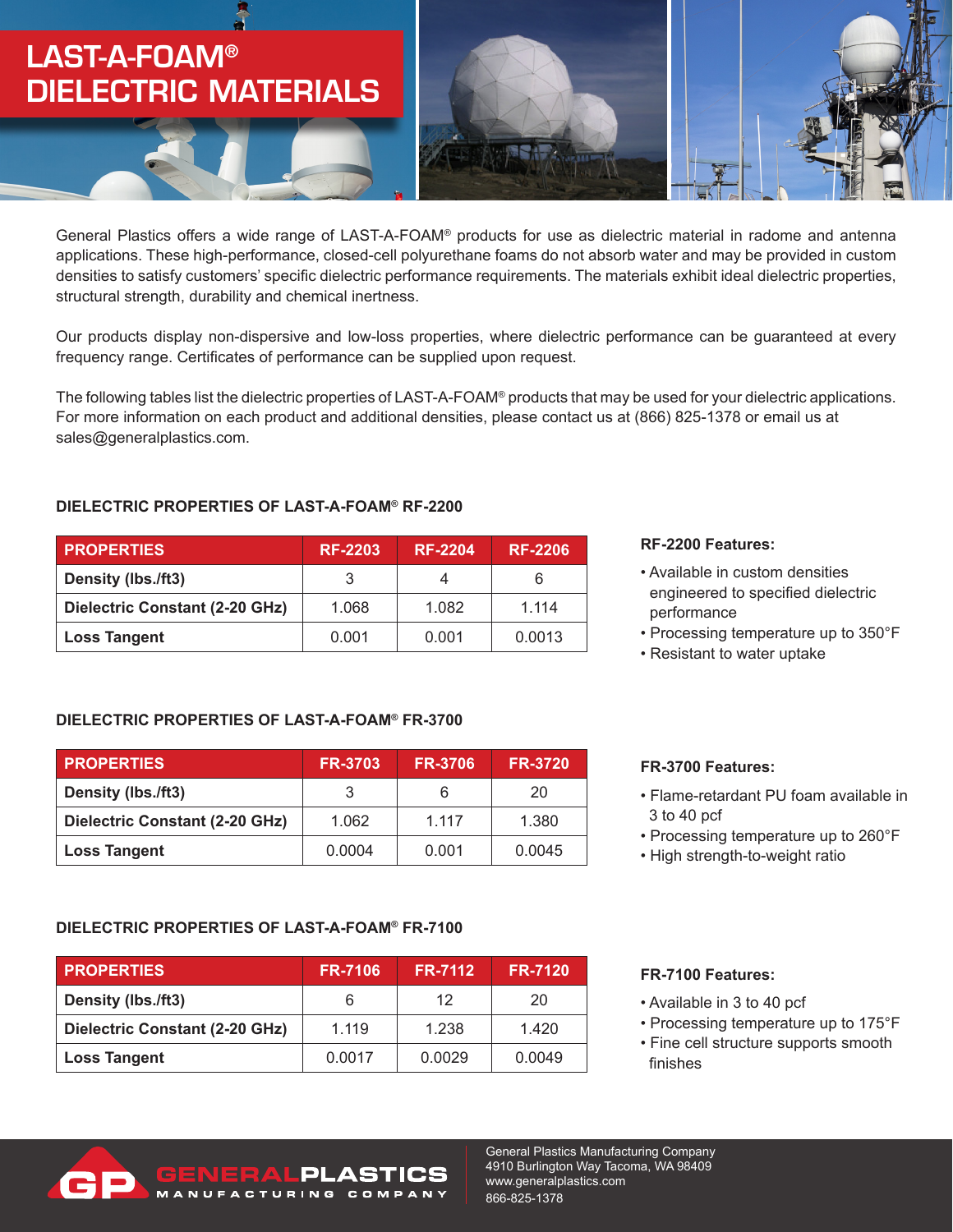# LAST-A-FOAM**®** DIELECTRIC MATERIALS



General Plastics offers a wide range of LAST-A-FOAM® products for use as dielectric material in radome and antenna applications. These high-performance, closed-cell polyurethane foams do not absorb water and may be provided in custom densities to satisfy customers' specific dielectric performance requirements. The materials exhibit ideal dielectric properties, structural strength, durability and chemical inertness.

Our products display non-dispersive and low-loss properties, where dielectric performance can be guaranteed at every frequency range. Certificates of performance can be supplied upon request.

The following tables list the dielectric properties of LAST-A-FOAM® products that may be used for your dielectric applications. For more information on each product and additional densities, please contact us at (866) 825-1378 or email us at sales@generalplastics.com.

### **DIELECTRIC PROPERTIES OF LAST-A-FOAM® RF-2200**

| <b>PROPERTIES</b>              | <b>RF-2203</b> | <b>RF-2204</b> | <b>RF-2206</b> |
|--------------------------------|----------------|----------------|----------------|
| Density (lbs./ft3)             |                | 4              | 6              |
| Dielectric Constant (2-20 GHz) | 1.068          | 1.082          | 1.114          |
| <b>Loss Tangent</b>            | 0.001          | 0.001          | 0.0013         |

### **DIELECTRIC PROPERTIES OF LAST-A-FOAM® FR-3700**

| <b>PROPERTIES</b>              | <b>FR-3703</b> | <b>FR-3706</b> | <b>FR-3720</b> |
|--------------------------------|----------------|----------------|----------------|
| Density (lbs./ft3)             |                | 6              | 20             |
| Dielectric Constant (2-20 GHz) | 1.062          | 1.117          | 1.380          |
| <b>Loss Tangent</b>            | 0.0004         | 0.001          | 0.0045         |

### **DIELECTRIC PROPERTIES OF LAST-A-FOAM® FR-7100**

| <b>PROPERTIES</b>              | <b>FR-7106</b> | <b>FR-7112</b> | <b>FR-7120</b> |
|--------------------------------|----------------|----------------|----------------|
| Density (lbs./ft3)             |                | 12             | 20             |
| Dielectric Constant (2-20 GHz) | 1.119          | 1.238          | 1.420          |
| <b>Loss Tangent</b>            | 0.0017         | 0.0029         | 0.0049         |

**VERALPLASTIC** NUFACTURING COMPANY

#### **RF-2200 Features:**

- Available in custom densities engineered to specified dielectric performance
- Processing temperature up to 350°F
- Resistant to water uptake

#### **FR-3700 Features:**

- Flame-retardant PU foam available in 3 to 40 pcf
- Processing temperature up to 260°F
- High strength-to-weight ratio

#### **FR-7100 Features:**

- Available in 3 to 40 pcf
- Processing temperature up to 175°F
- Fine cell structure supports smooth finishes